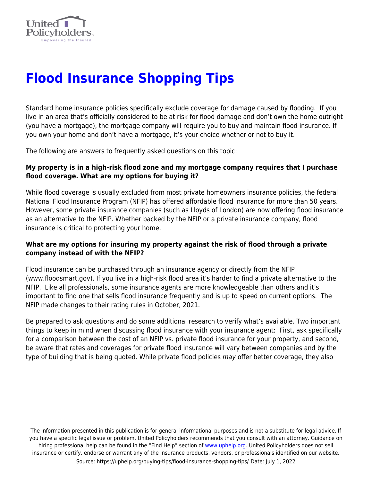

# **[Flood Insurance Shopping Tips](https://uphelp.org/buying-tips/flood-insurance-shopping-tips/)**

Standard home insurance policies specifically exclude coverage for damage caused by flooding. If you live in an area that's officially considered to be at risk for flood damage and don't own the home outright (you have a mortgage), the mortgage company will require you to buy and maintain flood insurance. If you own your home and don't have a mortgage, it's your choice whether or not to buy it.

The following are answers to frequently asked questions on this topic:

## **My property is in a high-risk flood zone and my mortgage company requires that I purchase flood coverage. What are my options for buying it?**

While flood coverage is usually excluded from most private homeowners insurance policies, the federal National Flood Insurance Program (NFIP) has offered affordable flood insurance for more than 50 years. However, some private insurance companies (such as Lloyds of London) are now offering flood insurance as an alternative to the NFIP. Whether backed by the NFIP or a private insurance company, flood insurance is critical to protecting your home.

## **What are my options for insuring my property against the risk of flood through a private company instead of with the NFIP?**

Flood insurance can be purchased through an insurance agency or directly from the NFIP (www.floodsmart.gov). If you live in a high-risk flood area it's harder to find a private alternative to the NFIP. Like all professionals, some insurance agents are more knowledgeable than others and it's important to find one that sells flood insurance frequently and is up to speed on current options. The NFIP made changes to their rating rules in October, 2021.

Be prepared to ask questions and do some additional research to verify what's available. Two important things to keep in mind when discussing flood insurance with your insurance agent: First, ask specifically for a comparison between the cost of an NFIP vs. private flood insurance for your property, and second, be aware that rates and coverages for private flood insurance will vary between companies and by the type of building that is being quoted. While private flood policies may offer better coverage, they also

The information presented in this publication is for general informational purposes and is not a substitute for legal advice. If you have a specific legal issue or problem, United Policyholders recommends that you consult with an attorney. Guidance on hiring professional help can be found in the "Find Help" section of [www.uphelp.org.](http://www.uphelp.org/) United Policyholders does not sell insurance or certify, endorse or warrant any of the insurance products, vendors, or professionals identified on our website. Source: https://uphelp.org/buying-tips/flood-insurance-shopping-tips/ Date: July 1, 2022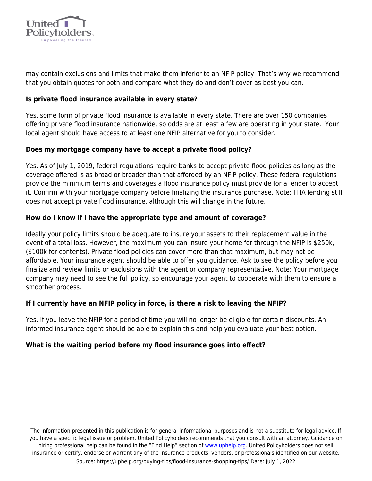

may contain exclusions and limits that make them inferior to an NFIP policy. That's why we recommend that you obtain quotes for both and compare what they do and don't cover as best you can.

### **Is private flood insurance available in every state?**

Yes, some form of private flood insurance is available in every state. There are over 150 companies offering private flood insurance nationwide, so odds are at least a few are operating in your state. Your local agent should have access to at least one NFIP alternative for you to consider.

## **Does my mortgage company have to accept a private flood policy?**

Yes. As of July 1, 2019, federal regulations require banks to accept private flood policies as long as the coverage offered is as broad or broader than that afforded by an NFIP policy. These federal regulations provide the minimum terms and coverages a flood insurance policy must provide for a lender to accept it. Confirm with your mortgage company before finalizing the insurance purchase. Note: FHA lending still does not accept private flood insurance, although this will change in the future.

## **How do I know if I have the appropriate type and amount of coverage?**

Ideally your policy limits should be adequate to insure your assets to their replacement value in the event of a total loss. However, the maximum you can insure your home for through the NFIP is \$250k, (\$100k for contents). Private flood policies can cover more than that maximum, but may not be affordable. Your insurance agent should be able to offer you guidance. Ask to see the policy before you finalize and review limits or exclusions with the agent or company representative. Note: Your mortgage company may need to see the full policy, so encourage your agent to cooperate with them to ensure a smoother process.

#### **If I currently have an NFIP policy in force, is there a risk to leaving the NFIP?**

Yes. If you leave the NFIP for a period of time you will no longer be eligible for certain discounts. An informed insurance agent should be able to explain this and help you evaluate your best option.

#### **What is the waiting period before my flood insurance goes into effect?**

The information presented in this publication is for general informational purposes and is not a substitute for legal advice. If you have a specific legal issue or problem, United Policyholders recommends that you consult with an attorney. Guidance on hiring professional help can be found in the "Find Help" section of [www.uphelp.org.](http://www.uphelp.org/) United Policyholders does not sell insurance or certify, endorse or warrant any of the insurance products, vendors, or professionals identified on our website. Source: https://uphelp.org/buying-tips/flood-insurance-shopping-tips/ Date: July 1, 2022